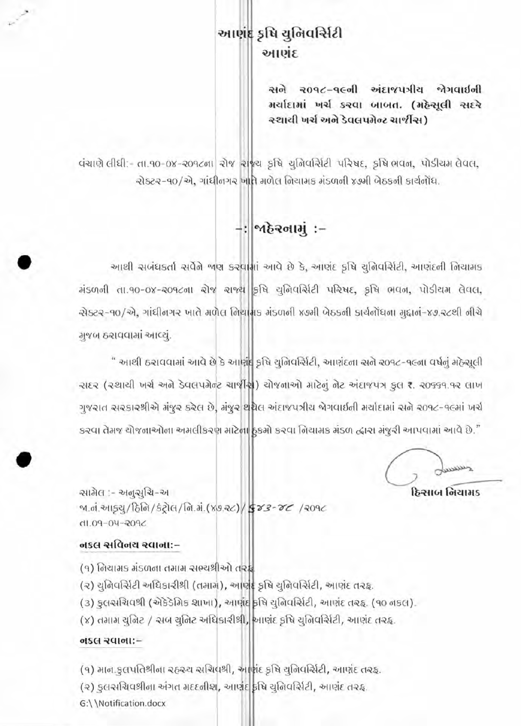## આણંદ કૃષિ યુનિવર્સિટી આણંદ

સને ૨૦૧૮-૧૯ની અંદાજપત્રીય જેગવાઈની મર્યાદામાં ખર્ચ કરવા બાબત. (મહેસૂલી સદરે રચાયી ખર્ચ અને ડેવલપમેન્ટ ચાર્જીસ)

वंचाएो तीघी:- ता.१०-०४-२०१८ना रोश राश्च इधि युनिवर्सिटी परिषद, इधि लवन, पोडीयम तेवत, ચેક્ટર-૧૦/એ, ગાંધીનગર ખાતે મળેલ નિચામક મંડળની ૪૭મી બેઠકની કાર્યનોંધ.

## -: | બહેર**ના**મું :-

આથી સબંધકર્તા સર્વેને જાણ કરવામાં આવે છે કે, આણંદ કૃષિ ચુનિવર્સિટી, આણંદની નિયામક मंडणनी ता.१०-०४-२०१८ना रोष राण्य इधि युनिवर्सिटी परिषद, इधि लवन, पोडीयम तेवत, એક્ટર-90/એ, ગાંધીનગર ખાતે મળેલ નિર્ધાત્મક મંડળની x9મી બેઠકની કાર્યનોંધના મુદ્દાન-x9.રૂટથી નીચે ગુજબ ઠરાવવામાં આવ્યું.

" આથી ઠરાવવામાં આવે છે કે આણંદ કૃષિ યુનિવર્સિટી, આણંદના સને ૨૦૧૮-૧૯ના વર્ષનું મઠેસૂલી २१६२ (२थायी जर्य अने डेवलपमेन्ट यार्थीस) योषनाओ माटेनुं नेट अंदाषपत्र इस ₹. २०५५१.१२ लाज ગુજરાત સરકારશ્રીએ મંજૂર કરેલ છે. મંજૂર થશેલ અંદાજપત્રીય જેગવાઈની મર્યાદામાં સને ર0૧૮-૧૯માં ખર્ચ કરવા તેમજ ચોજનાઓના અમલીકરણ માટેના ઠુકમો કરવા નિયામક મંડળ દ્વારા મંજૂરી આપવામાં આવે છે."

dann. હિસાબ નિયામક

ચામેલ :- અનુસુચિ-અ <u>બ.નં.આફવુ/ઠિનિ/કંટ્રોલ/નિ.મં.(૪૭.૨૮)/ફ્રિઝ3-૪૮/૨૦૧૮</u> **SP09-04-2015** 

## **નકલ સવિનય રવાના:-**

- (૧) નિયામક મંડળના તમામ સભ્યશ્રીઓ તરફ
- (૨) યુનિવર્સિટી અધિકારીશ્રી (તમામ), આણંદ કૃષિ યુનિવર્સિટી, આણંદ તરફ.
- (૩) કુલસચિવશ્રી (એકેડેમિક શાખા), આવાદ કૃષિ ચુનિવર્સિટી, આણંદ તરહ. (૧૦ નકલ).
- (૪) તમામ ચુનિટ / અબ ચુનિટ અધિકારીશ્રી, આણંદ કૃષિ ચુનિવર્સિટી, આણંદ તરફ.

## otset squott:-

- (૧) માન.ફુલપતિશ્રીના રહ્રસ્ય સચિવશ્રી, આર્ણદ કૃષિ યુનિવર્સિટી, આણંદ તરફ.
- (૨) કુલસચિવશ્રીના અંગત મદદનીશ, આણંદ કૃષિ યુનિવર્સિટી, આણંદ તરફ.
- G:\\Notification.docx